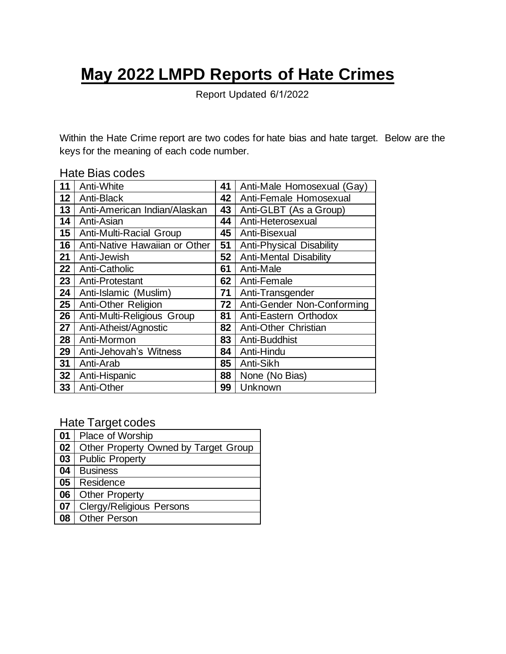## **May 2022 LMPD Reports of Hate Crimes**

Report Updated 6/1/2022

Within the Hate Crime report are two codes for hate bias and hate target. Below are the keys for the meaning of each code number.

## Hate Bias codes

| 11               | Anti-White                    | 41              | Anti-Male Homosexual (Gay)      |  |  |
|------------------|-------------------------------|-----------------|---------------------------------|--|--|
| 12 <sub>2</sub>  | Anti-Black                    | 42              | Anti-Female Homosexual          |  |  |
| 13               | Anti-American Indian/Alaskan  | 43              | Anti-GLBT (As a Group)          |  |  |
| 14               | Anti-Asian                    | 44              | Anti-Heterosexual               |  |  |
| 15 <sub>15</sub> | Anti-Multi-Racial Group       | 45              | Anti-Bisexual                   |  |  |
| 16               | Anti-Native Hawaiian or Other | 51              | <b>Anti-Physical Disability</b> |  |  |
| 21               | Anti-Jewish                   | 52              | <b>Anti-Mental Disability</b>   |  |  |
| 22               | Anti-Catholic                 | 61              | Anti-Male                       |  |  |
| 23               | Anti-Protestant               | 62 <sub>1</sub> | Anti-Female                     |  |  |
| 24               | Anti-Islamic (Muslim)         | 71              | Anti-Transgender                |  |  |
| 25               | Anti-Other Religion           | 72 <sub>1</sub> | Anti-Gender Non-Conforming      |  |  |
| 26               | Anti-Multi-Religious Group    | 81              | Anti-Eastern Orthodox           |  |  |
| 27               | Anti-Atheist/Agnostic         | 82              | Anti-Other Christian            |  |  |
| 28               | Anti-Mormon                   | 83              | Anti-Buddhist                   |  |  |
| 29               | Anti-Jehovah's Witness        | 84              | Anti-Hindu                      |  |  |
| 31               | Anti-Arab                     | 85 <sup>1</sup> | Anti-Sikh                       |  |  |
| 32               | Anti-Hispanic                 | 88              | None (No Bias)                  |  |  |
| 33 <sub>°</sub>  | Anti-Other                    | 99 <sub>1</sub> | Unknown                         |  |  |

Hate Target codes

| 01              | <b>Place of Worship</b>              |
|-----------------|--------------------------------------|
| 02              | Other Property Owned by Target Group |
| $\overline{03}$ | <b>Public Property</b>               |
| 04              | <b>Business</b>                      |
| 05              | Residence                            |
| 06              | <b>Other Property</b>                |
| $\overline{07}$ | <b>Clergy/Religious Persons</b>      |
| 08              | <b>Other Person</b>                  |